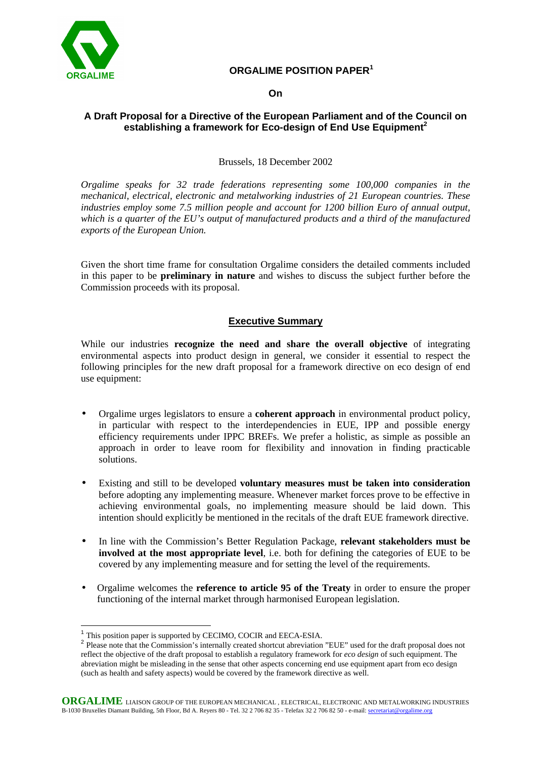

 $\overline{a}$ 

# **ORGALIME POSITION PAPER<sup>1</sup>**

#### **On**

# **A Draft Proposal for a Directive of the European Parliament and of the Council on establishing a framework for Eco-design of End Use Equipment<sup>2</sup>**

#### Brussels, 18 December 2002

*Orgalime speaks for 32 trade federations representing some 100,000 companies in the mechanical, electrical, electronic and metalworking industries of 21 European countries. These industries employ some 7.5 million people and account for 1200 billion Euro of annual output, which is a quarter of the EU's output of manufactured products and a third of the manufactured exports of the European Union.*

Given the short time frame for consultation Orgalime considers the detailed comments included in this paper to be **preliminary in nature** and wishes to discuss the subject further before the Commission proceeds with its proposal.

## **Executive Summary**

While our industries **recognize the need and share the overall objective** of integrating environmental aspects into product design in general, we consider it essential to respect the following principles for the new draft proposal for a framework directive on eco design of end use equipment:

- Orgalime urges legislators to ensure a **coherent approach** in environmental product policy, in particular with respect to the interdependencies in EUE, IPP and possible energy efficiency requirements under IPPC BREFs. We prefer a holistic, as simple as possible an approach in order to leave room for flexibility and innovation in finding practicable solutions.
- Existing and still to be developed **voluntary measures must be taken into consideration** before adopting any implementing measure. Whenever market forces prove to be effective in achieving environmental goals, no implementing measure should be laid down. This intention should explicitly be mentioned in the recitals of the draft EUE framework directive.
- In line with the Commission's Better Regulation Package, **relevant stakeholders must be involved at the most appropriate level**, i.e. both for defining the categories of EUE to be covered by any implementing measure and for setting the level of the requirements.
- Orgalime welcomes the **reference to article 95 of the Treaty** in order to ensure the proper functioning of the internal market through harmonised European legislation.

<sup>&</sup>lt;sup>1</sup> This position paper is supported by CECIMO, COCIR and EECA-ESIA.

<sup>&</sup>lt;sup>2</sup> Please note that the Commission's internally created shortcut abreviation "EUE" used for the draft proposal does not reflect the objective of the draft proposal to establish a regulatory framework for *eco design* of such equipment. The abreviation might be misleading in the sense that other aspects concerning end use equipment apart from eco design (such as health and safety aspects) would be covered by the framework directive as well.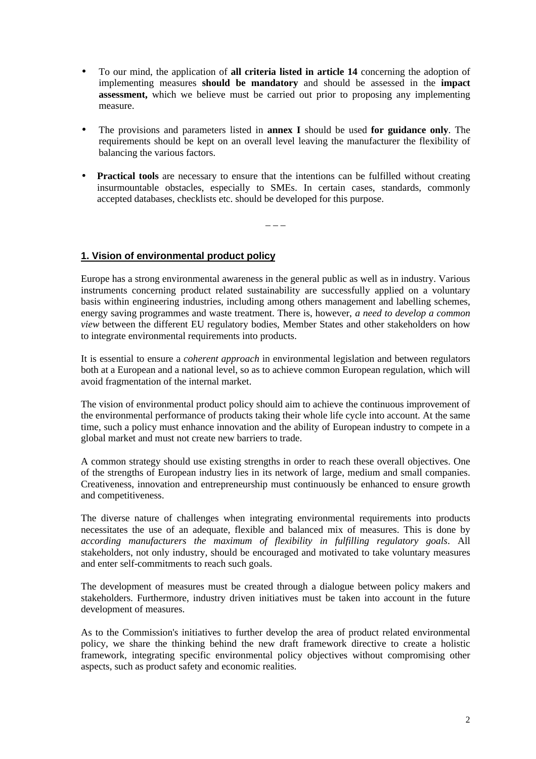- To our mind, the application of **all criteria listed in article 14** concerning the adoption of implementing measures **should be mandatory** and should be assessed in the **impact assessment,** which we believe must be carried out prior to proposing any implementing measure.
- The provisions and parameters listed in **annex I** should be used **for guidance only**. The requirements should be kept on an overall level leaving the manufacturer the flexibility of balancing the various factors.
- **Practical tools** are necessary to ensure that the intentions can be fulfilled without creating insurmountable obstacles, especially to SMEs. In certain cases, standards, commonly accepted databases, checklists etc. should be developed for this purpose.

 $-$ 

## **1. Vision of environmental product policy**

Europe has a strong environmental awareness in the general public as well as in industry. Various instruments concerning product related sustainability are successfully applied on a voluntary basis within engineering industries, including among others management and labelling schemes, energy saving programmes and waste treatment. There is, however, *a need to develop a common view* between the different EU regulatory bodies, Member States and other stakeholders on how to integrate environmental requirements into products.

It is essential to ensure a *coherent approach* in environmental legislation and between regulators both at a European and a national level, so as to achieve common European regulation, which will avoid fragmentation of the internal market.

The vision of environmental product policy should aim to achieve the continuous improvement of the environmental performance of products taking their whole life cycle into account. At the same time, such a policy must enhance innovation and the ability of European industry to compete in a global market and must not create new barriers to trade.

A common strategy should use existing strengths in order to reach these overall objectives. One of the strengths of European industry lies in its network of large, medium and small companies. Creativeness, innovation and entrepreneurship must continuously be enhanced to ensure growth and competitiveness.

The diverse nature of challenges when integrating environmental requirements into products necessitates the use of an adequate, flexible and balanced mix of measures. This is done by *according manufacturers the maximum of flexibility in fulfilling regulatory goals*. All stakeholders, not only industry, should be encouraged and motivated to take voluntary measures and enter self-commitments to reach such goals.

The development of measures must be created through a dialogue between policy makers and stakeholders. Furthermore, industry driven initiatives must be taken into account in the future development of measures.

As to the Commission's initiatives to further develop the area of product related environmental policy, we share the thinking behind the new draft framework directive to create a holistic framework, integrating specific environmental policy objectives without compromising other aspects, such as product safety and economic realities.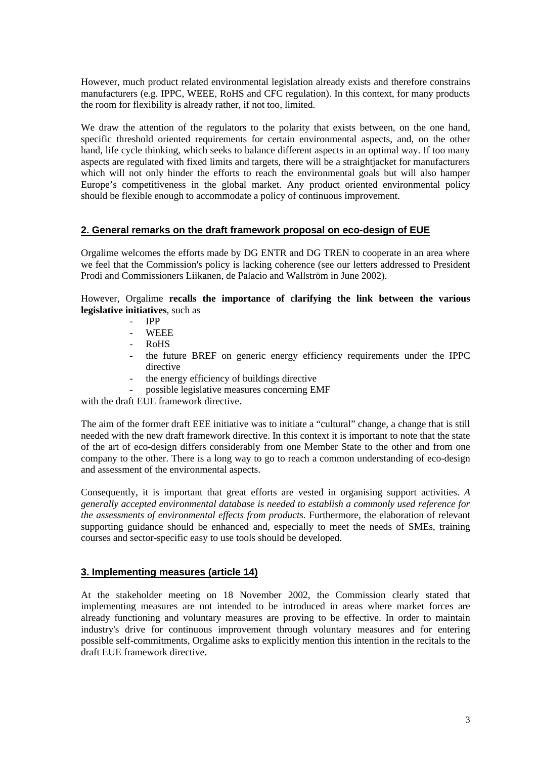However, much product related environmental legislation already exists and therefore constrains manufacturers (e.g. IPPC, WEEE, RoHS and CFC regulation). In this context, for many products the room for flexibility is already rather, if not too, limited.

We draw the attention of the regulators to the polarity that exists between, on the one hand, specific threshold oriented requirements for certain environmental aspects, and, on the other hand, life cycle thinking, which seeks to balance different aspects in an optimal way. If too many aspects are regulated with fixed limits and targets, there will be a straightjacket for manufacturers which will not only hinder the efforts to reach the environmental goals but will also hamper Europe's competitiveness in the global market. Any product oriented environmental policy should be flexible enough to accommodate a policy of continuous improvement.

#### **2. General remarks on the draft framework proposal on eco-design of EUE**

Orgalime welcomes the efforts made by DG ENTR and DG TREN to cooperate in an area where we feel that the Commission's policy is lacking coherence (see our letters addressed to President Prodi and Commissioners Liikanen, de Palacio and Wallström in June 2002).

However, Orgalime **recalls the importance of clarifying the link between the various legislative initiatives**, such as

- IPP
- WEEE
- RoHS
- the future BREF on generic energy efficiency requirements under the IPPC directive
- the energy efficiency of buildings directive
- possible legislative measures concerning EMF

with the draft EUE framework directive.

The aim of the former draft EEE initiative was to initiate a "cultural" change, a change that is still needed with the new draft framework directive. In this context it is important to note that the state of the art of eco-design differs considerably from one Member State to the other and from one company to the other. There is a long way to go to reach a common understanding of eco-design and assessment of the environmental aspects.

Consequently, it is important that great efforts are vested in organising support activities. *A generally accepted environmental database is needed to establish a commonly used reference for the assessments of environmental effects from products.* Furthermore, the elaboration of relevant supporting guidance should be enhanced and, especially to meet the needs of SMEs, training courses and sector-specific easy to use tools should be developed.

## **3. Implementing measures (article 14)**

At the stakeholder meeting on 18 November 2002, the Commission clearly stated that implementing measures are not intended to be introduced in areas where market forces are already functioning and voluntary measures are proving to be effective. In order to maintain industry's drive for continuous improvement through voluntary measures and for entering possible self-commitments, Orgalime asks to explicitly mention this intention in the recitals to the draft EUE framework directive.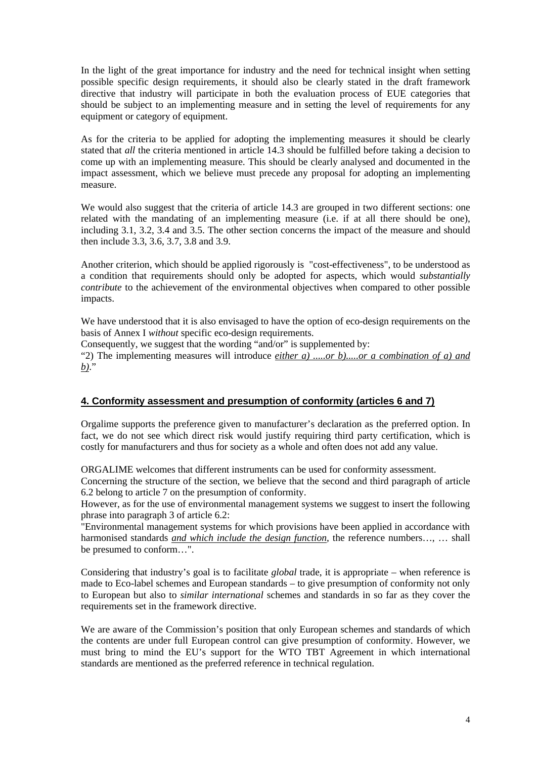In the light of the great importance for industry and the need for technical insight when setting possible specific design requirements, it should also be clearly stated in the draft framework directive that industry will participate in both the evaluation process of EUE categories that should be subject to an implementing measure and in setting the level of requirements for any equipment or category of equipment.

As for the criteria to be applied for adopting the implementing measures it should be clearly stated that *all* the criteria mentioned in article 14.3 should be fulfilled before taking a decision to come up with an implementing measure. This should be clearly analysed and documented in the impact assessment, which we believe must precede any proposal for adopting an implementing measure.

We would also suggest that the criteria of article 14.3 are grouped in two different sections: one related with the mandating of an implementing measure (i.e. if at all there should be one), including 3.1, 3.2, 3.4 and 3.5. The other section concerns the impact of the measure and should then include 3.3, 3.6, 3.7, 3.8 and 3.9.

Another criterion, which should be applied rigorously is "cost-effectiveness", to be understood as a condition that requirements should only be adopted for aspects, which would *substantially contribute* to the achievement of the environmental objectives when compared to other possible impacts.

We have understood that it is also envisaged to have the option of eco-design requirements on the basis of Annex I *without* specific eco-design requirements.

Consequently, we suggest that the wording "and/or" is supplemented by:

"2) The implementing measures will introduce *either a) .....or b).....or a combination of a) and b)*."

## **4. Conformity assessment and presumption of conformity (articles 6 and 7)**

Orgalime supports the preference given to manufacturer's declaration as the preferred option. In fact, we do not see which direct risk would justify requiring third party certification, which is costly for manufacturers and thus for society as a whole and often does not add any value.

ORGALIME welcomes that different instruments can be used for conformity assessment.

Concerning the structure of the section, we believe that the second and third paragraph of article 6.2 belong to article 7 on the presumption of conformity.

However, as for the use of environmental management systems we suggest to insert the following phrase into paragraph 3 of article 6.2:

"Environmental management systems for which provisions have been applied in accordance with harmonised standards *and which include the design function*, the reference numbers…, … shall be presumed to conform…".

Considering that industry's goal is to facilitate *global* trade, it is appropriate – when reference is made to Eco-label schemes and European standards – to give presumption of conformity not only to European but also to *similar international* schemes and standards in so far as they cover the requirements set in the framework directive.

We are aware of the Commission's position that only European schemes and standards of which the contents are under full European control can give presumption of conformity. However, we must bring to mind the EU's support for the WTO TBT Agreement in which international standards are mentioned as the preferred reference in technical regulation.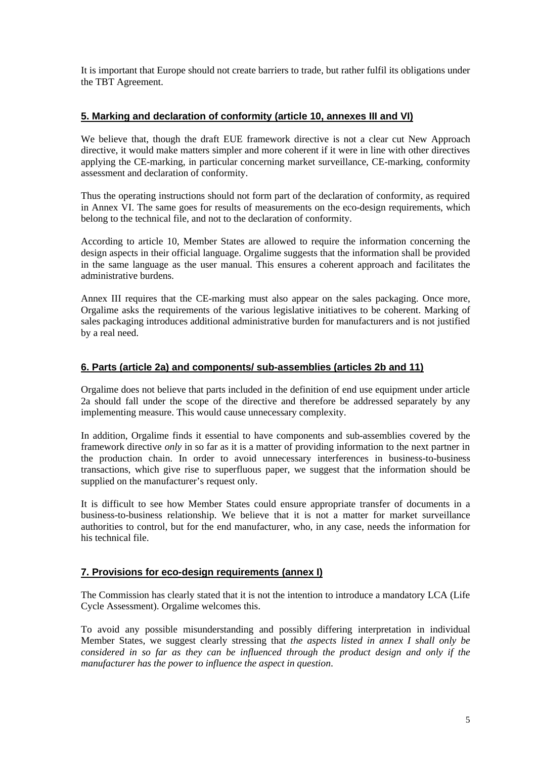It is important that Europe should not create barriers to trade, but rather fulfil its obligations under the TBT Agreement.

## **5. Marking and declaration of conformity (article 10, annexes III and VI)**

We believe that, though the draft EUE framework directive is not a clear cut New Approach directive, it would make matters simpler and more coherent if it were in line with other directives applying the CE-marking, in particular concerning market surveillance, CE-marking, conformity assessment and declaration of conformity.

Thus the operating instructions should not form part of the declaration of conformity, as required in Annex VI. The same goes for results of measurements on the eco-design requirements, which belong to the technical file, and not to the declaration of conformity.

According to article 10, Member States are allowed to require the information concerning the design aspects in their official language. Orgalime suggests that the information shall be provided in the same language as the user manual. This ensures a coherent approach and facilitates the administrative burdens.

Annex III requires that the CE-marking must also appear on the sales packaging. Once more, Orgalime asks the requirements of the various legislative initiatives to be coherent. Marking of sales packaging introduces additional administrative burden for manufacturers and is not justified by a real need.

## **6. Parts (article 2a) and components/ sub-assemblies (articles 2b and 11)**

Orgalime does not believe that parts included in the definition of end use equipment under article 2a should fall under the scope of the directive and therefore be addressed separately by any implementing measure. This would cause unnecessary complexity.

In addition, Orgalime finds it essential to have components and sub-assemblies covered by the framework directive *only* in so far as it is a matter of providing information to the next partner in the production chain. In order to avoid unnecessary interferences in business-to-business transactions, which give rise to superfluous paper, we suggest that the information should be supplied on the manufacturer's request only.

It is difficult to see how Member States could ensure appropriate transfer of documents in a business-to-business relationship. We believe that it is not a matter for market surveillance authorities to control, but for the end manufacturer, who, in any case, needs the information for his technical file.

## **7. Provisions for eco-design requirements (annex I)**

The Commission has clearly stated that it is not the intention to introduce a mandatory LCA (Life Cycle Assessment). Orgalime welcomes this.

To avoid any possible misunderstanding and possibly differing interpretation in individual Member States, we suggest clearly stressing that *the aspects listed in annex I shall only be considered in so far as they can be influenced through the product design and only if the manufacturer has the power to influence the aspect in question*.